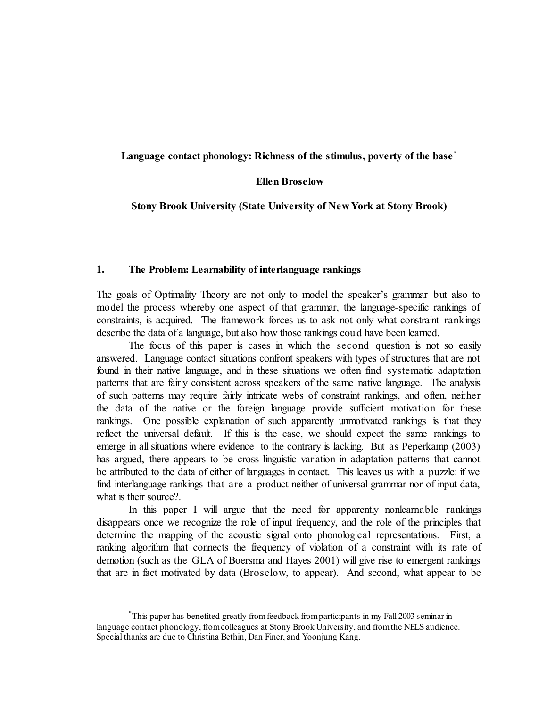# **Language contact phonology: Richness of the stimulus, poverty of the base \***

### **Ellen Broselow**

**Stony Brook University (State University of New York at Stony Brook)**

#### **1. The Problem: Learnability of interlanguage rankings**

The goals of Optimality Theory are not only to model the speaker's grammar but also to model the process whereby one aspect of that grammar, the language-specific rankings of constraints, is acquired. The framework forces us to ask not only what constraint rankings describe the data of a language, but also how those rankings could have been learned.

The focus of this paper is cases in which the second question is not so easily answered. Language contact situations confront speakers with types of structures that are not found in their native language, and in these situations we often find systematic adaptation patterns that are fairly consistent across speakers of the same native language. The analysis of such patterns may require fairly intricate webs of constraint rankings, and often, neither the data of the native or the foreign language provide sufficient motivation for these rankings. One possible explanation of such apparently unmotivated rankings is that they reflect the universal default. If this is the case, we should expect the same rankings to emerge in all situations where evidence to the contrary is lacking. But as Peperkamp (2003) has argued, there appears to be cross-linguistic variation in adaptation patterns that cannot be attributed to the data of either of languages in contact. This leaves us with a puzzle: if we find interlanguage rankings that are a product neither of universal grammar nor of input data, what is their source?.

In this paper I will argue that the need for apparently nonlearnable rankings disappears once we recognize the role of input frequency, and the role of the principles that determine the mapping of the acoustic signal onto phonological representations. First, a ranking algorithm that connects the frequency of violation of a constraint with its rate of demotion (such as the GLA of Boersma and Hayes 2001) will give rise to emergent rankings that are in fact motivated by data (Broselow, to appear). And second, what appear to be

<sup>\*</sup>This paper has benefited greatly fromfeedback fromparticipants in my Fall 2003 seminar in language contact phonology, fromcolleagues at Stony Brook University, and fromthe NELS audience. Special thanks are due to Christina Bethin, Dan Finer, and Yoonjung Kang.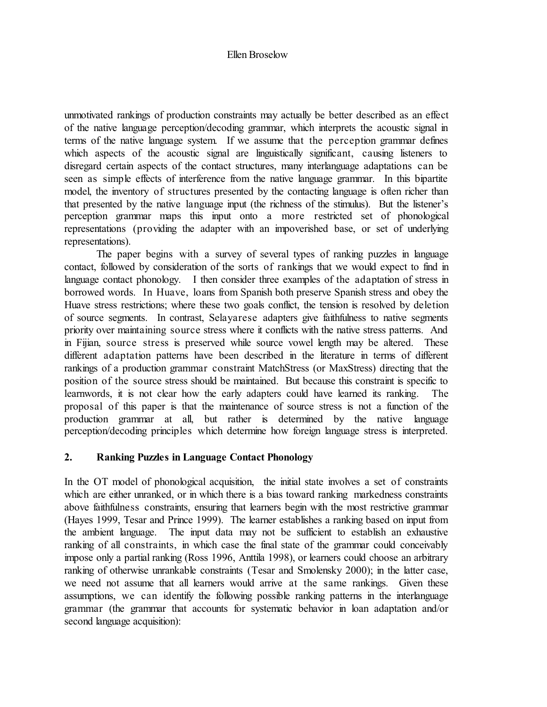unmotivated rankings of production constraints may actually be better described as an effect of the native language perception/decoding grammar, which interprets the acoustic signal in terms of the native language system. If we assume that the perception grammar defines which aspects of the acoustic signal are linguistically significant, causing listeners to disregard certain aspects of the contact structures, many interlanguage adaptations can be seen as simple effects of interference from the native language grammar. In this bipartite model, the inventory of structures presented by the contacting language is often richer than that presented by the native language input (the richness of the stimulus). But the listener's perception grammar maps this input onto a more restricted set of phonological representations (providing the adapter with an impoverished base, or set of underlying representations).

The paper begins with a survey of several types of ranking puzzles in language contact, followed by consideration of the sorts of rankings that we would expect to find in language contact phonology. I then consider three examples of the adaptation of stress in borrowed words. In Huave, loans from Spanish both preserve Spanish stress and obey the Huave stress restrictions; where these two goals conflict, the tension is resolved by deletion of source segments. In contrast, Selayarese adapters give faithfulness to native segments priority over maintaining source stress where it conflicts with the native stress patterns. And in Fijian, source stress is preserved while source vowel length may be altered. These different adaptation patterns have been described in the literature in terms of different rankings of a production grammar constraint MatchStress (or MaxStress) directing that the position of the source stress should be maintained. But because this constraint is specific to learnwords, it is not clear how the early adapters could have learned its ranking. The proposal of this paper is that the maintenance of source stress is not a function of the production grammar at all, but rather is determined by the native language perception/decoding principles which determine how foreign language stress is interpreted.

# **2. Ranking Puzzles in Language Contact Phonology**

In the OT model of phonological acquisition, the initial state involves a set of constraints which are either unranked, or in which there is a bias toward ranking markedness constraints above faithfulness constraints, ensuring that learners begin with the most restrictive grammar (Hayes 1999, Tesar and Prince 1999). The learner establishes a ranking based on input from the ambient language. The input data may not be sufficient to establish an exhaustive ranking of all constraints, in which case the final state of the grammar could conceivably impose only a partial ranking (Ross 1996, Anttila 1998), or learners could choose an arbitrary ranking of otherwise unrankable constraints (Tesar and Smolensky 2000); in the latter case, we need not assume that all learners would arrive at the same rankings. Given these assumptions, we can identify the following possible ranking patterns in the interlanguage grammar (the grammar that accounts for systematic behavior in loan adaptation and/or second language acquisition):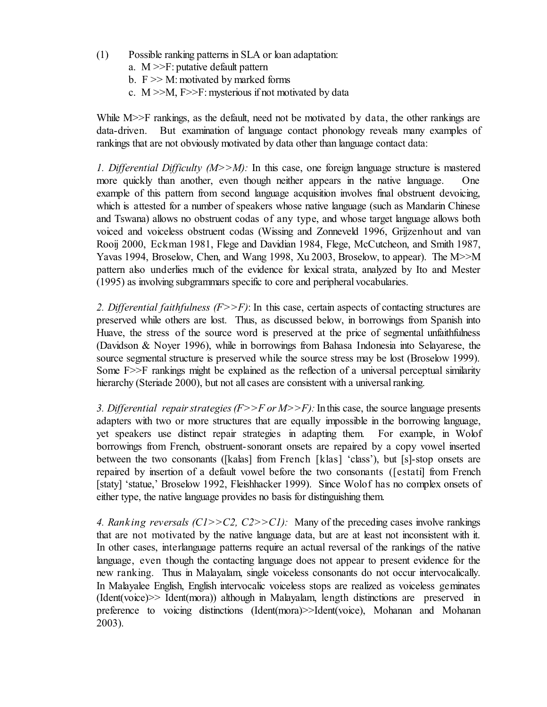- (1) Possible ranking patterns in SLA or loan adaptation:
	- a. M >>F: putative default pattern
	- b.  $F \gg M$ : motivated by marked forms
	- c.  $M \gg M$ ,  $F \gg F$ : mysterious if not motivated by data

While M $\gg$ F rankings, as the default, need not be motivated by data, the other rankings are data-driven. But examination of language contact phonology reveals many examples of rankings that are not obviously motivated by data other than language contact data:

*1. Differential Difficulty (M>>M):* In this case, one foreign language structure is mastered more quickly than another, even though neither appears in the native language. One example of this pattern from second language acquisition involves final obstruent devoicing, which is attested for a number of speakers whose native language (such as Mandarin Chinese and Tswana) allows no obstruent codas of any type, and whose target language allows both voiced and voiceless obstruent codas (Wissing and Zonneveld 1996, Grijzenhout and van Rooij 2000, Eckman 1981, Flege and Davidian 1984, Flege, McCutcheon, and Smith 1987, Yavas 1994, Broselow, Chen, and Wang 1998, Xu 2003, Broselow, to appear). The M>>M pattern also underlies much of the evidence for lexical strata, analyzed by Ito and Mester (1995) as involving subgrammars specific to core and peripheral vocabularies.

*2. Differential faithfulness (F>>F)*: In this case, certain aspects of contacting structures are preserved while others are lost. Thus, as discussed below, in borrowings from Spanish into Huave, the stress of the source word is preserved at the price of segmental unfaithfulness (Davidson & Noyer 1996), while in borrowings from Bahasa Indonesia into Selayarese, the source segmental structure is preserved while the source stress may be lost (Broselow 1999). Some  $F \gg F$  rankings might be explained as the reflection of a universal perceptual similarity hierarchy (Steriade 2000), but not all cases are consistent with a universal ranking.

3. Differential repair strategies  $(F>>F$  or  $M>>F$ ): In this case, the source language presents adapters with two or more structures that are equally impossible in the borrowing language, yet speakers use distinct repair strategies in adapting them. For example, in Wolof borrowings from French, obstruent-sonorant onsets are repaired by a copy vowel inserted between the two consonants ([kalas] from French [klas] 'class'), but [s]-stop onsets are repaired by insertion of a default vowel before the two consonants ([estati] from French [staty] 'statue,' Broselow 1992, Fleishhacker 1999). Since Wolof has no complex onsets of either type, the native language provides no basis for distinguishing them.

*4. Rank ing reversals (C1>>C2, C2>>C1):* Many of the preceding cases involve rankings that are not motivated by the native language data, but are at least not inconsistent with it. In other cases, interlanguage patterns require an actual reversal of the rankings of the native language, even though the contacting language does not appear to present evidence for the new ranking. Thus in Malayalam, single voiceless consonants do not occur intervocalically. In Malayalee English, English intervocalic voiceless stops are realized as voiceless geminates (Ident(voice)>> Ident(mora)) although in Malayalam, length distinctions are preserved in preference to voicing distinctions (Ident(mora)>>Ident(voice), Mohanan and Mohanan 2003).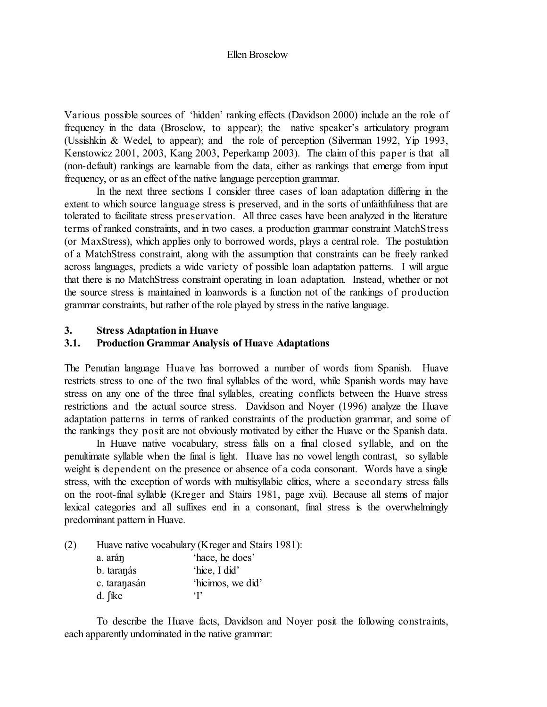Various possible sources of 'hidden' ranking effects (Davidson 2000) include an the role of frequency in the data (Broselow, to appear); the native speaker's articulatory program (Ussishkin & Wedel, to appear); and the role of perception (Silverman 1992, Yip 1993, Kenstowicz 2001, 2003, Kang 2003, Peperkamp 2003). The claim of this paper is that all (non-default) rankings are learnable from the data, either as rankings that emerge from input frequency, or as an effect of the native language perception grammar.

In the next three sections I consider three cases of loan adaptation differing in the extent to which source language stress is preserved, and in the sorts of unfaithfulness that are tolerated to facilitate stress preservation. All three cases have been analyzed in the literature terms of ranked constraints, and in two cases, a production grammar constraint MatchStress (or MaxStress), which applies only to borrowed words, plays a central role. The postulation of a MatchStress constraint, along with the assumption that constraints can be freely ranked across languages, predicts a wide variety of possible loan adaptation patterns. I will argue that there is no MatchStress constraint operating in loan adaptation. Instead, whether or not the source stress is maintained in loanwords is a function not of the rankings of production grammar constraints, but rather of the role played by stress in the native language.

### **3. Stress Adaptation in Huave**

# **3.1. Production Grammar Analysis of Huave Adaptations**

The Penutian language Huave has borrowed a number of words from Spanish. Huave restricts stress to one of the two final syllables of the word, while Spanish words may have stress on any one of the three final syllables, creating conflicts between the Huave stress restrictions and the actual source stress. Davidson and Noyer (1996) analyze the Huave adaptation patterns in terms of ranked constraints of the production grammar, and some of the rankings they posit are not obviously motivated by either the Huave or the Spanish data.

In Huave native vocabulary, stress falls on a final closed syllable, and on the penultimate syllable when the final is light. Huave has no vowel length contrast, so syllable weight is dependent on the presence or absence of a coda consonant. Words have a single stress, with the exception of words with multisyllabic clitics, where a secondary stress falls on the root-final syllable (Kreger and Stairs 1981, page xvii). Because all stems of major lexical categories and all suffixes end in a consonant, final stress is the overwhelmingly predominant pattern in Huave.

(2) Huave native vocabulary (Kreger and Stairs 1981):

| a. arán      | 'hace, he does'   |
|--------------|-------------------|
| b. taranás   | 'hice, I did'     |
| c. taranasán | 'hicimos, we did' |
| d. fike      | $\cdot$ r         |

To describe the Huave facts, Davidson and Noyer posit the following constraints, each apparently undominated in the native grammar: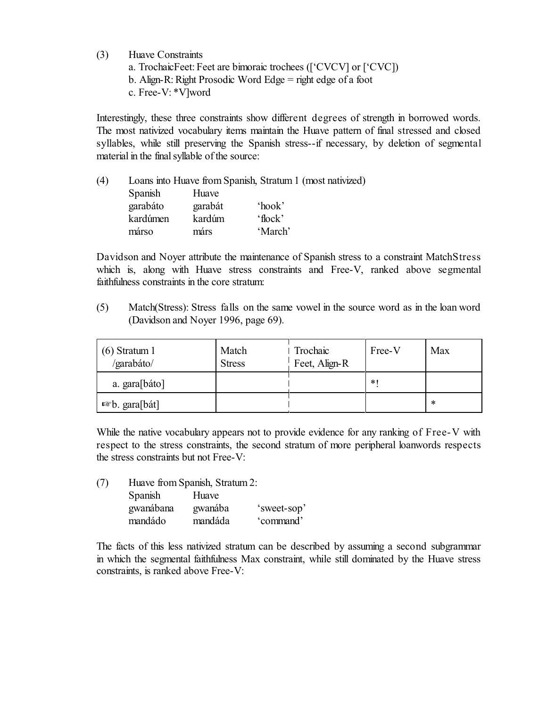- (3) Huave Constraints
	- a. TrochaicFeet: Feet are bimoraic trochees (['CVCV] or ['CVC])
	- b. Align-R: Right Prosodic Word Edge = right edge of a foot
	- c. Free-V: \*V]word

Interestingly, these three constraints show different degrees of strength in borrowed words. The most nativized vocabulary items maintain the Huave pattern of final stressed and closed syllables, while still preserving the Spanish stress--if necessary, by deletion of segmental material in the final syllable of the source:

| (4) |          |         | Loans into Huave from Spanish, Stratum 1 (most nativized) |
|-----|----------|---------|-----------------------------------------------------------|
|     | Spanish  | Huave   |                                                           |
|     | garabáto | garabát | 'hook'                                                    |
|     | kardúmen | kardúm  | $'$ flock'                                                |
|     | márso    | márs    | 'March'                                                   |

Davidson and Noyer attribute the maintenance of Spanish stress to a constraint MatchStress which is, along with Huave stress constraints and Free-V, ranked above segmental faithfulness constraints in the core stratum:

(5) Match(Stress): Stress falls on the same vowel in the source word as in the loan word (Davidson and Noyer 1996, page 69).

| $(6)$ Stratum 1<br>/garabáto/ | Match<br><b>Stress</b> | Trochaic<br>Feet, Align-R | Free-V | Max |
|-------------------------------|------------------------|---------------------------|--------|-----|
| a. gara[báto]                 |                        |                           | $*$    |     |
| <sup>¤</sup> ®b. gara[bát]    |                        |                           |        | ∗   |

While the native vocabulary appears not to provide evidence for any ranking of Free-V with respect to the stress constraints, the second stratum of more peripheral loanwords respects the stress constraints but not Free-V:

| (7) |           | Huave from Spanish, Stratum 2: |             |
|-----|-----------|--------------------------------|-------------|
|     | Spanish   | Huave                          |             |
|     | gwanábana | gwanába                        | 'sweet-sop' |
|     | mandádo   | mandáda                        | 'command'   |

The facts of this less nativized stratum can be described by assuming a second subgrammar in which the segmental faithfulness Max constraint, while still dominated by the Huave stress constraints, is ranked above Free-V: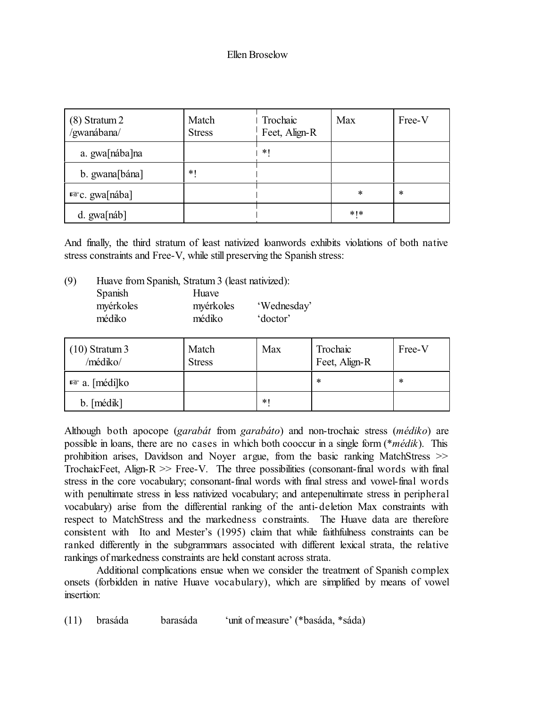| $(8)$ Stratum 2<br>/gwanábana/ | Match<br><b>Stress</b> | I Trochaic<br>Feet, Align-R | Max       | Free-V |
|--------------------------------|------------------------|-----------------------------|-----------|--------|
| a. gwa[nába]na                 |                        | *1                          |           |        |
| b. gwana[bána]                 | $*$                    |                             |           |        |
| $E$ c. gwa[nába]               |                        |                             | $\ast$    | $\ast$ |
| d. gwa[náb]                    |                        |                             | $*$   $*$ |        |

And finally, the third stratum of least nativized loanwords exhibits violations of both native stress constraints and Free-V, while still preserving the Spanish stress:

(9) Huave from Spanish, Stratum3 (least nativized): Spanish Huave myérkoles myérkoles 'Wednesday' médiko médiko 'doctor'

| $(10)$ Stratum 3<br>/médiko/ | Match<br><b>Stress</b> | Max    | Trochaic<br>Feet, Align-R | Free-V |
|------------------------------|------------------------|--------|---------------------------|--------|
| <b>¤</b> ® a. [médi]ko       |                        |        | ∗                         | $\ast$ |
| b. [médik]                   |                        | $\ast$ |                           |        |

Although both apocope (*garabát* from *garabáto*) and non-trochaic stress (*médiko*) are possible in loans, there are no cases in which both cooccur in a single form (\**médik*). This prohibition arises, Davidson and Noyer argue, from the basic ranking MatchStress >> TrochaicFeet, Align-R  $\gg$  Free-V. The three possibilities (consonant-final words with final stress in the core vocabulary; consonant-final words with final stress and vowel-final words with penultimate stress in less nativized vocabulary; and antepenultimate stress in peripheral vocabulary) arise from the differential ranking of the anti-deletion Max constraints with respect to MatchStress and the markedness constraints. The Huave data are therefore consistent with Ito and Mester's (1995) claim that while faithfulness constraints can be ranked differently in the subgrammars associated with different lexical strata, the relative rankings of markedness constraints are held constant across strata.

Additional complications ensue when we consider the treatment of Spanish complex onsets (forbidden in native Huave vocabulary), which are simplified by means of vowel insertion:

(11) brasáda barasáda 'unit of measure' (\*basáda, \*sáda)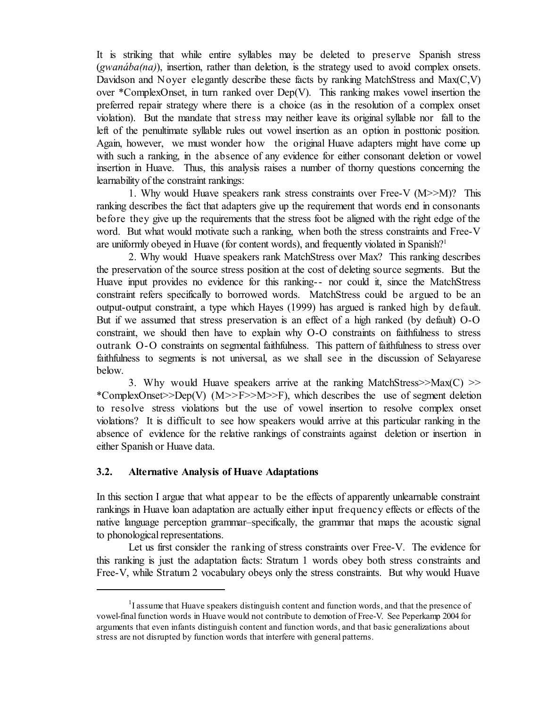It is striking that while entire syllables may be deleted to preserve Spanish stress (*gwanába(na)*), insertion, rather than deletion, is the strategy used to avoid complex onsets. Davidson and Noyer elegantly describe these facts by ranking MatchStress and Max(C,V) over \*ComplexOnset, in turn ranked over Dep(V). This ranking makes vowel insertion the preferred repair strategy where there is a choice (as in the resolution of a complex onset violation). But the mandate that stress may neither leave its original syllable nor fall to the left of the penultimate syllable rules out vowel insertion as an option in posttonic position. Again, however, we must wonder how the original Huave adapters might have come up with such a ranking, in the absence of any evidence for either consonant deletion or vowel insertion in Huave. Thus, this analysis raises a number of thorny questions concerning the learnability of the constraint rankings:

1. Why would Huave speakers rank stress constraints over Free-V (M>>M)? This ranking describes the fact that adapters give up the requirement that words end in consonants before they give up the requirements that the stress foot be aligned with the right edge of the word. But what would motivate such a ranking, when both the stress constraints and Free-V are uniformly obeyed in Huave (for content words), and frequently violated in Spanish?<sup>1</sup>

2. Why would Huave speakers rank MatchStress over Max? This ranking describes the preservation of the source stress position at the cost of deleting source segments. But the Huave input provides no evidence for this ranking-- nor could it, since the MatchStress constraint refers specifically to borrowed words. MatchStress could be argued to be an output-output constraint, a type which Hayes (1999) has argued is ranked high by default. But if we assumed that stress preservation is an effect of a high ranked (by default) O-O constraint, we should then have to explain why O-O constraints on faithfulness to stress outrank O-O constraints on segmental faithfulness. This pattern of faithfulness to stress over faithfulness to segments is not universal, as we shall see in the discussion of Selayarese below.

3. Why would Huave speakers arrive at the ranking MatchStress $\gg$ Max $(C)$   $\gg$ \*ComplexOnset>>Dep(V)  $(M>>F>>M>>F)$ , which describes the use of segment deletion to resolve stress violations but the use of vowel insertion to resolve complex onset violations? It is difficult to see how speakers would arrive at this particular ranking in the absence of evidence for the relative rankings of constraints against deletion or insertion in either Spanish or Huave data.

### **3.2. Alternative Analysis of Huave Adaptations**

In this section I argue that what appear to be the effects of apparently unlearnable constraint rankings in Huave loan adaptation are actually either input frequency effects or effects of the native language perception grammar–specifically, the grammar that maps the acoustic signal to phonological representations.

Let us first consider the ranking of stress constraints over Free-V. The evidence for this ranking is just the adaptation facts: Stratum 1 words obey both stress constraints and Free-V, while Stratum 2 vocabulary obeys only the stress constraints. But why would Huave

<sup>&</sup>lt;sup>1</sup>I assume that Huave speakers distinguish content and function words, and that the presence of vowel-final function words in Huave would not contribute to demotion of Free-V. See Peperkamp 2004 for arguments that even infants distinguish content and function words, and that basic generalizations about stress are not disrupted by function words that interfere with general patterns.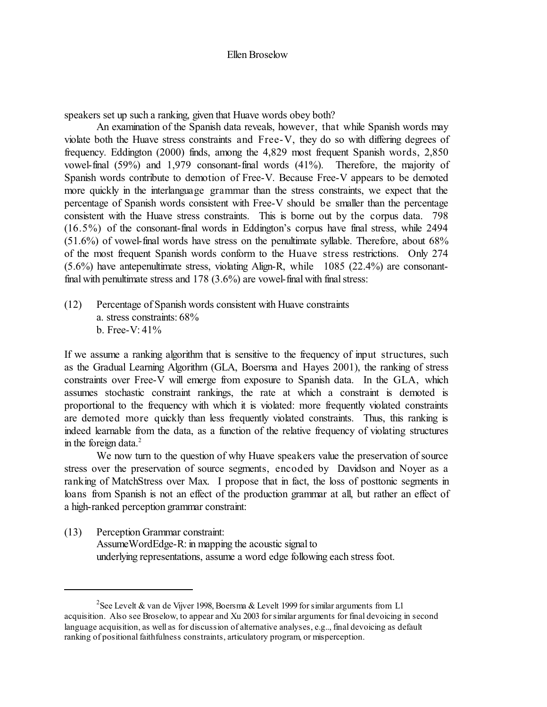speakers set up such a ranking, given that Huave words obey both?

An examination of the Spanish data reveals, however, that while Spanish words may violate both the Huave stress constraints and Free-V, they do so with differing degrees of frequency. Eddington (2000) finds, among the 4,829 most frequent Spanish words, 2,850 vowel-final (59%) and 1,979 consonant-final words (41%). Therefore, the majority of Spanish words contribute to demotion of Free-V. Because Free-V appears to be demoted more quickly in the interlanguage grammar than the stress constraints, we expect that the percentage of Spanish words consistent with Free-V should be smaller than the percentage consistent with the Huave stress constraints. This is borne out by the corpus data. 798 (16.5%) of the consonant-final words in Eddington's corpus have final stress, while 2494 (51.6%) of vowel-final words have stress on the penultimate syllable. Therefore, about 68% of the most frequent Spanish words conform to the Huave stress restrictions. Only 274 (5.6%) have antepenultimate stress, violating Align-R, while 1085 (22.4%) are consonantfinal with penultimate stress and 178 (3.6%) are vowel-final with final stress:

(12) Percentage of Spanish words consistent with Huave constraints a. stress constraints: 68% b. Free-V: 41%

If we assume a ranking algorithm that is sensitive to the frequency of input structures, such as the Gradual Learning Algorithm (GLA, Boersma and Hayes 2001), the ranking of stress constraints over Free-V will emerge from exposure to Spanish data. In the GLA, which assumes stochastic constraint rankings, the rate at which a constraint is demoted is proportional to the frequency with which it is violated: more frequently violated constraints are demoted more quickly than less frequently violated constraints. Thus, this ranking is indeed learnable from the data, as a function of the relative frequency of violating structures in the foreign data. 2

We now turn to the question of why Huave speakers value the preservation of source stress over the preservation of source segments, encoded by Davidson and Noyer as a ranking of MatchStress over Max. I propose that in fact, the loss of posttonic segments in loans from Spanish is not an effect of the production grammar at all, but rather an effect of a high-ranked perception grammar constraint:

(13) Perception Grammar constraint: AssumeWordEdge-R: in mapping the acoustic signal to underlying representations, assume a word edge following each stress foot.

 $^2$ See Levelt & van de Vijver 1998, Boersma & Levelt 1999 for similar arguments from L1 acquisition. Also see Broselow, to appear and Xu 2003 forsimilar arguments for final devoicing in second language acquisition, as well as for discussion of alternative analyses, e.g.., final devoicing as default ranking of positional faithfulness constraints, articulatory program, or misperception.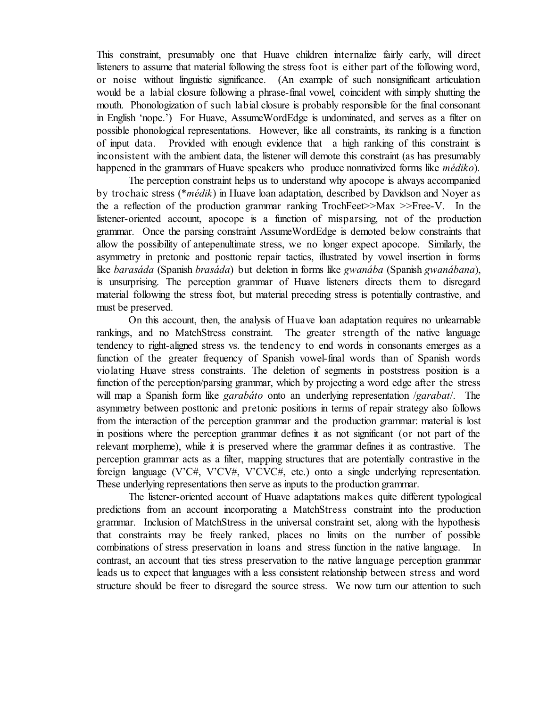This constraint, presumably one that Huave children internalize fairly early, will direct listeners to assume that material following the stress foot is either part of the following word, or noise without linguistic significance. (An example of such nonsignificant articulation would be a labial closure following a phrase-final vowel, coincident with simply shutting the mouth. Phonologization of such labial closure is probably responsible for the final consonant in English 'nope.') For Huave, AssumeWordEdge is undominated, and serves as a filter on possible phonological representations. However, like all constraints, its ranking is a function of input data. Provided with enough evidence that a high ranking of this constraint is inconsistent with the ambient data, the listener will demote this constraint (as has presumably happened in the grammars of Huave speakers who produce nonnativized forms like *médiko*).

The perception constraint helps us to understand why apocope is always accompanied by trochaic stress (\**médik*) in Huave loan adaptation, described by Davidson and Noyer as the a reflection of the production grammar ranking TrochFeet>>Max >>Free-V. In the listener-oriented account, apocope is a function of misparsing, not of the production grammar. Once the parsing constraint AssumeWordEdge is demoted below constraints that allow the possibility of antepenultimate stress, we no longer expect apocope. Similarly, the asymmetry in pretonic and posttonic repair tactics, illustrated by vowel insertion in forms like *barasáda* (Spanish *brasáda*) but deletion in forms like *gwanába* (Spanish *gwanábana*), is unsurprising. The perception grammar of Huave listeners directs them to disregard material following the stress foot, but material preceding stress is potentially contrastive, and must be preserved.

On this account, then, the analysis of Huave loan adaptation requires no unlearnable rankings, and no MatchStress constraint. The greater strength of the native language tendency to right-aligned stress vs. the tendency to end words in consonants emerges as a function of the greater frequency of Spanish vowel-final words than of Spanish words violating Huave stress constraints. The deletion of segments in poststress position is a function of the perception/parsing grammar, which by projecting a word edge after the stress will map a Spanish form like *garabáto* onto an underlying representation /*garabat*/. The asymmetry between posttonic and pretonic positions in terms of repair strategy also follows from the interaction of the perception grammar and the production grammar: material is lost in positions where the perception grammar defines it as not significant (or not part of the relevant morpheme), while it is preserved where the grammar defines it as contrastive. The perception grammar acts as a filter, mapping structures that are potentially contrastive in the foreign language (V'C#, V'CV#, V'CVC#, etc.) onto a single underlying representation. These underlying representations then serve as inputs to the production grammar.

The listener-oriented account of Huave adaptations makes quite different typological predictions from an account incorporating a MatchStress constraint into the production grammar. Inclusion of MatchStress in the universal constraint set, along with the hypothesis that constraints may be freely ranked, places no limits on the number of possible combinations of stress preservation in loans and stress function in the native language. In contrast, an account that ties stress preservation to the native language perception grammar leads us to expect that languages with a less consistent relationship between stress and word structure should be freer to disregard the source stress. We now turn our attention to such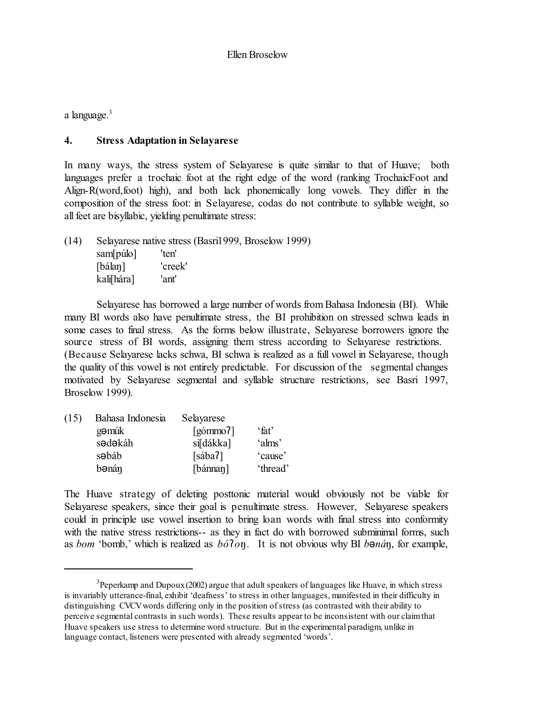a language.<sup>3</sup>

# **4. Stress Adaptation in Selayarese**

In many ways, the stress system of Selayarese is quite similar to that of Huave; both languages prefer a trochaic foot at the right edge of the word (ranking TrochaicFoot and Align-R(word,foot) high), and both lack phonemically long vowels. They differ in the composition of the stress foot: in Selayarese, codas do not contribute to syllable weight, so all feet are bisyllabic, yielding penultimate stress:

(14) Selayarese native stress (Basri1999, Broselow 1999) sam[púlo] 'ten' [bálan] 'creek' kali[hára] 'ant'

Selayarese has borrowed a large number of words from Bahasa Indonesia (BI). While many BI words also have penultimate stress, the BI prohibition on stressed schwa leads in some cases to final stress. As the forms below illustrate, Selayarese borrowers ignore the source stress of BI words, assigning them stress according to Selayarese restrictions. (Because Selayarese lacks schwa, BI schwa is realized as a full vowel in Selayarese, though the quality of this vowel is not entirely predictable. For discussion of the segmental changes motivated by Selayarese segmental and syllable structure restrictions, see Basri 1997, Broselow 1999).

| (15) | Bahasa Indonesia | Selayarese                          |          |
|------|------------------|-------------------------------------|----------|
|      | gəmük            | $\lceil \sin \theta \cdot 2 \rceil$ | 'fat'    |
|      | sədəkáh          | si[dákka]                           | 'alms'   |
|      | s <b>abáb</b>    | [sába]                              | 'cause'  |
|      | bənán            | $\lceil$ bánnan $\rceil$            | 'thread' |

The Huave strategy of deleting posttonic material would obviously not be viable for Selayarese speakers, since their goal is penultimate stress. However, Selayarese speakers could in principle use vowel insertion to bring loan words with final stress into conformity with the native stress restrictions-- as they in fact do with borrowed subminimal forms, such as *bom* 'bomb,' which is realized as *bó§oõ*. It is not obvious why BI *bcnáõ*, for example,

 $^3$ Peperkamp and Dupoux (2002) argue that adult speakers of languages like Huave, in which stress is invariably utterance-final, exhibit 'deafness' to stress in other languages, manifested in their difficulty in distinguishing CVCVwords differing only in the position ofstress (as contrasted with their ability to perceive segmental contrasts in such words). These results appear to be inconsistent with our claimthat Huave speakers use stress to determine word structure. But in the experimental paradigm, unlike in language contact, listeners were presented with already segmented 'words'.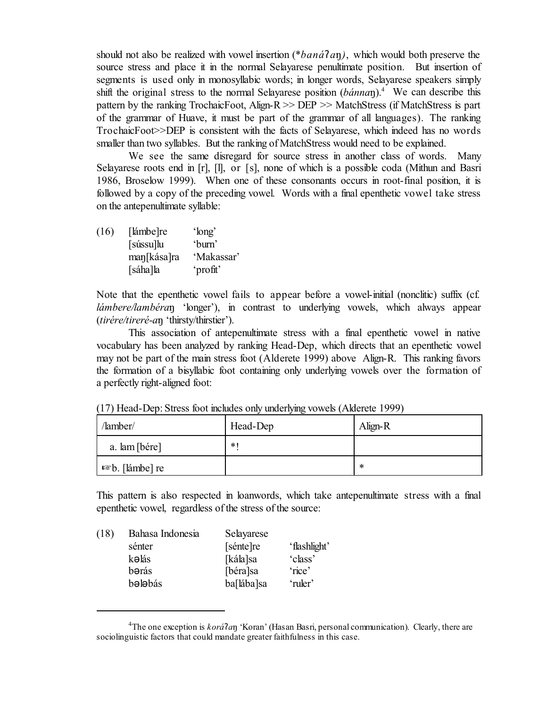should not also be realized with vowel insertion (\**baná§aõ)*, which would both preserve the source stress and place it in the normal Selayarese penultimate position. But insertion of segments is used only in monosyllabic words; in longer words, Selayarese speakers simply shift the original stress to the normal Selayarese position (*bánnaõ*). <sup>4</sup> We can describe this pattern by the ranking TrochaicFoot, Align-R >> DEP >> MatchStress (if MatchStress is part of the grammar of Huave, it must be part of the grammar of all languages). The ranking TrochaicFoot>>DEP is consistent with the facts of Selayarese, which indeed has no words smaller than two syllables. But the ranking of MatchStress would need to be explained.

We see the same disregard for source stress in another class of words. Many Selayarese roots end in [r], [l], or [s], none of which is a possible coda (Mithun and Basri 1986, Broselow 1999). When one of these consonants occurs in root-final position, it is followed by a copy of the preceding vowel. Words with a final epenthetic vowel take stress on the antepenultimate syllable:

| (16) | [lámbe]re   | 'long'     |
|------|-------------|------------|
|      | [sússu]lu   | 'burn'     |
|      | man[kása]ra | 'Makassar' |
|      | [sáha]la    | 'profit'   |

Note that the epenthetic vowel fails to appear before a vowel-initial (nonclitic) suffix (cf. *lámbere/lambéra*n 'longer'), in contrast to underlying vowels, which always appear (*tirére/tireré-aõ* 'thirsty/thirstier').

This association of antepenultimate stress with a final epenthetic vowel in native vocabulary has been analyzed by ranking Head-Dep, which directs that an epenthetic vowel may not be part of the main stress foot (Alderete 1999) above Align-R. This ranking favors the formation of a bisyllabic foot containing only underlying vowels over the formation of a perfectly right-aligned foot:

| /lamber/                   | Head-Dep | Align-R |
|----------------------------|----------|---------|
| a. lam [bére]              | $*1$     |         |
| $\sqrt{a^2b}$ . [lámbe] re |          | ∗       |

(17) Head-Dep: Stress foot includes only underlying vowels (Alderete 1999)

This pattern is also respected in loanwords, which take antepenultimate stress with a final epenthetic vowel, regardless of the stress of the source:

| (18) | Bahasa Indonesia | Selayarese |              |
|------|------------------|------------|--------------|
|      | sénter           | [sénte]re  | 'flashlight' |
|      | kəlás            | [kála]sa   | 'class'      |
|      | bərás            | [béra]sa   | 'rice'       |
|      | bələbás          | ba[lába]sa | 'ruler'      |
|      |                  |            |              |

<sup>4</sup>The one exception is *korá§aõ* 'Koran' (Hasan Basri, personal communication). Clearly, there are sociolinguistic factors that could mandate greater faithfulness in this case.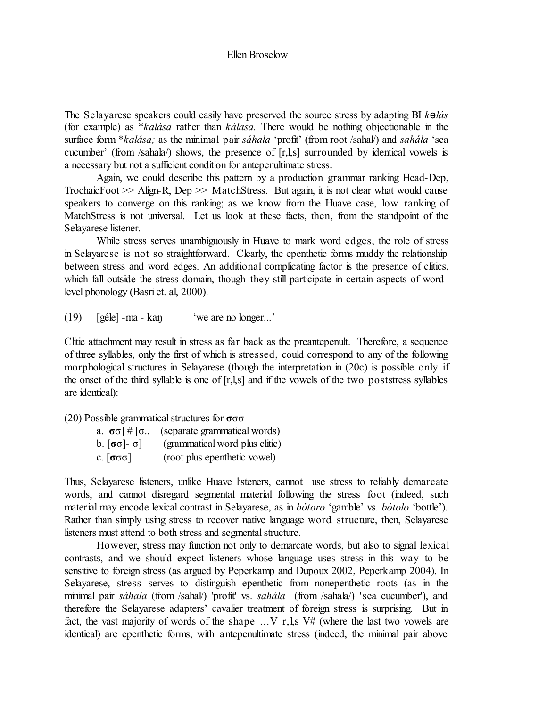The Selayarese speakers could easily have preserved the source stress by adapting BI *kclás* (for example) as \**kalása* rather than *kálasa.* There would be nothing objectionable in the surface form \**kalása;* as the minimal pair *sáhala* 'profit' (from root /sahal/) and *sahála* 'sea cucumber' (from /sahala/) shows, the presence of [r,l,s] surrounded by identical vowels is a necessary but not a sufficient condition for antepenultimate stress.

Again, we could describe this pattern by a production grammar ranking Head-Dep, TrochaicFoot >> Align-R, Dep >> MatchStress. But again, it is not clear what would cause speakers to converge on this ranking; as we know from the Huave case, low ranking of MatchStress is not universal. Let us look at these facts, then, from the standpoint of the Selayarese listener.

While stress serves unambiguously in Huave to mark word edges, the role of stress in Selayarese is not so straightforward. Clearly, the epenthetic forms muddy the relationship between stress and word edges. An additional complicating factor is the presence of clitics, which fall outside the stress domain, though they still participate in certain aspects of wordlevel phonology (Basri et. al, 2000).

 $(19)$  [géle] -ma - kan 'we are no longer...'

Clitic attachment may result in stress as far back as the preantepenult. Therefore, a sequence of three syllables, only the first of which is stressed, could correspond to any of the following morphological structures in Selayarese (though the interpretation in (20c) is possible only if the onset of the third syllable is one of [r,l,s] and if the vowels of the two poststress syllables are identical):

(20) Possible grammatical structures for  $\sigma \sigma \sigma$ 

| a. $\sigma$ o]#[o                                       | (separate grammatical words)   |
|---------------------------------------------------------|--------------------------------|
| $\mathfrak b.$ [ $\mathfrak \sigma$ o]- $\mathfrak d$ ] | (grammatical word plus clitic) |
| c. [σσσ] .                                              | (root plus epenthetic vowel)   |

Thus, Selayarese listeners, unlike Huave listeners, cannot use stress to reliably demarcate words, and cannot disregard segmental material following the stress foot (indeed, such material may encode lexical contrast in Selayarese, as in *bótoro* 'gamble' vs. *bótolo* 'bottle'). Rather than simply using stress to recover native language word structure, then, Selayarese listeners must attend to both stress and segmental structure.

However, stress may function not only to demarcate words, but also to signal lexical contrasts, and we should expect listeners whose language uses stress in this way to be sensitive to foreign stress (as argued by Peperkamp and Dupoux 2002, Peperkamp 2004). In Selayarese, stress serves to distinguish epenthetic from nonepenthetic roots (as in the minimal pair *sáhala* (from /sahal/) 'profit' vs. *sahála* (from /sahala/) 'sea cucumber'), and therefore the Selayarese adapters' cavalier treatment of foreign stress is surprising. But in fact, the vast majority of words of the shape  $\dots$  V r, l,s V# (where the last two vowels are identical) are epenthetic forms, with antepenultimate stress (indeed, the minimal pair above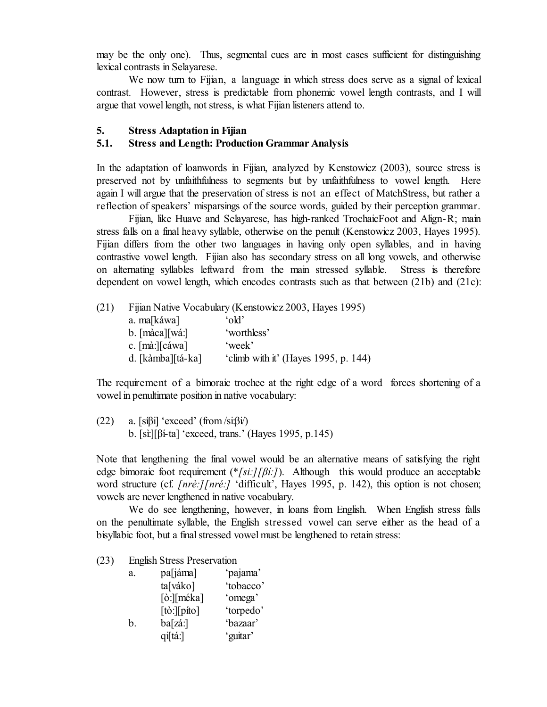may be the only one). Thus, segmental cues are in most cases sufficient for distinguishing lexical contrasts in Selayarese.

We now turn to Fijian, a language in which stress does serve as a signal of lexical contrast. However, stress is predictable from phonemic vowel length contrasts, and I will argue that vowel length, not stress, is what Fijian listeners attend to.

# **5. Stress Adaptation in Fijian**

# **5.1. Stress and Length: Production Grammar Analysis**

In the adaptation of loanwords in Fijian, analyzed by Kenstowicz (2003), source stress is preserved not by unfaithfulness to segments but by unfaithfulness to vowel length. Here again I will argue that the preservation of stress is not an effect of MatchStress, but rather a reflection of speakers' misparsings of the source words, guided by their perception grammar.

Fijian, like Huave and Selayarese, has high-ranked TrochaicFoot and Align-R; main stress falls on a final heavy syllable, otherwise on the penult (Kenstowicz 2003, Hayes 1995). Fijian differs from the other two languages in having only open syllables, and in having contrastive vowel length. Fijian also has secondary stress on all long vowels, and otherwise on alternating syllables leftward from the main stressed syllable. Stress is therefore dependent on vowel length, which encodes contrasts such as that between (21b) and (21c):

| (21) |                                 | Fijian Native Vocabulary (Kenstowicz 2003, Hayes 1995) |
|------|---------------------------------|--------------------------------------------------------|
|      | a. ma[káwa]                     | 'old'                                                  |
|      | $b.$ [màca][wá:]                | 'worthless'                                            |
|      | c. $[m\hat{a}$ : $[c\hat{a}wa]$ | 'week'                                                 |
|      | d. [kàmba][tá-ka]               | 'climb with it' (Hayes 1995, p. 144)                   |

The requirement of a bimoraic trochee at the right edge of a word forces shortening of a vowel in penultimate position in native vocabulary:

(22) a.  $[sifj]$  'exceed' (from  $\langle sifj \rangle$ ) b. [sì:][âí-ta] 'exceed, trans.' (Hayes 1995, p.145)

Note that lengthening the final vowel would be an alternative means of satisfying the right edge bimoraic foot requirement  $(*/si!/ \beta i$ :*[*]). Although this would produce an acceptable word structure (cf. *[nrè:][nré:]* 'difficult', Hayes 1995, p. 142), this option is not chosen; vowels are never lengthened in native vocabulary.

We do see lengthening, however, in loans from English. When English stress falls on the penultimate syllable, the English stressed vowel can serve either as the head of a bisyllabic foot, but a final stressed vowel must be lengthened to retain stress:

(23) English Stress Preservation

| a. | pa[jáma]               | 'pajama'  |
|----|------------------------|-----------|
|    | ta[váko]               | 'tobacco' |
|    | [ò:][méka]             | 'omega'   |
|    | $[t\delta:][p\$ {if}o] | 'torpedo' |
| b. | ba[zá:]                | 'bazaar'  |
|    | qi[tá:]                | 'guitar'  |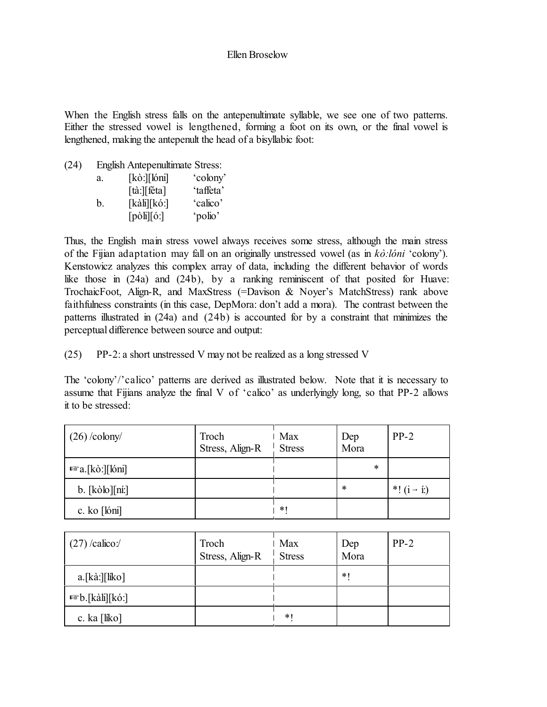When the English stress falls on the antepenultimate syllable, we see one of two patterns. Either the stressed vowel is lengthened, forming a foot on its own, or the final vowel is lengthened, making the antepenult the head of a bisyllabic foot:

(24) English Antepenultimate Stress:

| a. | $[k\delta:][\delta m]$          | 'colony'  |
|----|---------------------------------|-----------|
|    | $\lceil \ddot{a} \rceil$ [téta] | 'taffeta' |
| h. | $[k\text{ali}][k\text{o}$ :     | 'calico'  |
|    | $[p\delta\mathbf{h}][6:]$       | 'polio'   |

Thus, the English main stress vowel always receives some stress, although the main stress of the Fijian adaptation may fall on an originally unstressed vowel (as in *kò:lóni* 'colony'). Kenstowicz analyzes this complex array of data, including the different behavior of words like those in (24a) and (24b), by a ranking reminiscent of that posited for Huave: TrochaicFoot, Align-R, and MaxStress (=Davison & Noyer's MatchStress) rank above faithfulness constraints (in this case, DepMora: don't add a mora). The contrast between the patterns illustrated in (24a) and (24b) is accounted for by a constraint that minimizes the perceptual difference between source and output:

(25) PP-2: a short unstressed V may not be realized as a long stressed V

The 'colony'/'calico' patterns are derived as illustrated below. Note that it is necessary to assume that Fijians analyze the final V of 'calico' as underlyingly long, so that PP-2 allows it to be stressed:

| $(26)$ /colony/          | Troch<br>Stress, Align-R | ∣ Max<br><b>Stress</b> | Dep<br>Mora | $PP-2$                 |
|--------------------------|--------------------------|------------------------|-------------|------------------------|
| $\sqrt{a}$ a.[kò:][lóni] |                          |                        | $\ast$      |                        |
| $b.$ [kòlo][ní:]         |                          |                        | $\ast$      | *! $(i \rightarrow i)$ |
| c. ko [lóni]             |                          | $*1$                   |             |                        |

| $(27)$ /calico:/                                             | Troch<br>Stress, Align-R | l Max<br><b>Stress</b> | Dep<br>Mora | $PP-2$ |
|--------------------------------------------------------------|--------------------------|------------------------|-------------|--------|
| $a.[k\hat{a}:\tilde{b}[\hat{a}]\tilde{b}[\hat{b}]\tilde{c}]$ |                          |                        | $*1$        |        |
| <i>¤</i> ®b.[kàli][kó:]                                      |                          |                        |             |        |
| c. ka [líko]                                                 |                          | $\ast$                 |             |        |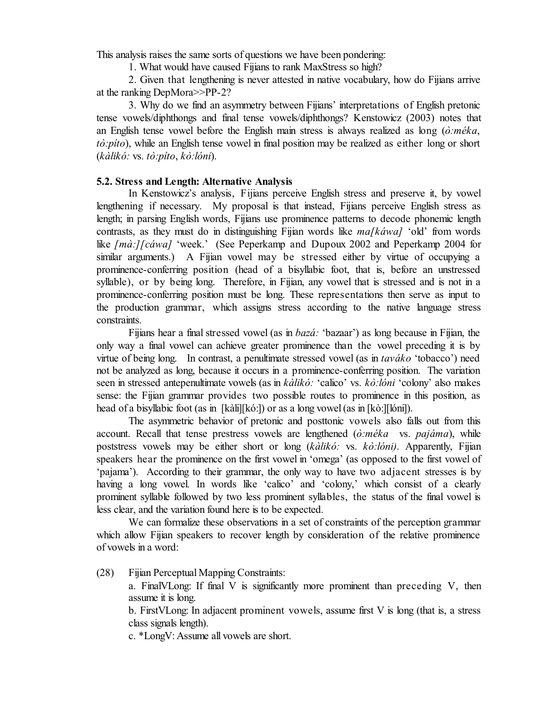This analysis raises the same sorts of questions we have been pondering:

1. What would have caused Fijians to rank MaxStress so high?

2. Given that lengthening is never attested in native vocabulary, how do Fijians arrive at the ranking DepMora>>PP-2?

3. Why do we find an asymmetry between Fijians' interpretations of English pretonic tense vowels/diphthongs and final tense vowels/diphthongs? Kenstowicz (2003) notes that an English tense vowel before the English main stress is always realized as long (*ò:méka*, *tò:píto*), while an English tense vowel in final position may be realized as either long or short (*kàlikó:* vs. *tò:píto*, *kò:lóni*).

# **5.2. Stress and Length: Alternative Analysis**

In Kenstowicz's analysis, Fijians perceive English stress and preserve it, by vowel lengthening if necessary. My proposal is that instead, Fijians perceive English stress as length; in parsing English words, Fijians use prominence patterns to decode phonemic length contrasts, as they must do in distinguishing Fijian words like *ma[káwa]* 'old' from words like *[mà:][cáwa]* 'week.' (See Peperkamp and Dupoux 2002 and Peperkamp 2004 for similar arguments.) A Fijian vowel may be stressed either by virtue of occupying a prominence-conferring position (head of a bisyllabic foot, that is, before an unstressed syllable), or by being long. Therefore, in Fijian, any vowel that is stressed and is not in a prominence-conferring position must be long. These representations then serve as input to the production grammar, which assigns stress according to the native language stress constraints.

Fijians hear a final stressed vowel (as in *bazá:* 'bazaar') as long because in Fijian, the only way a final vowel can achieve greater prominence than the vowel preceding it is by virtue of being long. In contrast, a penultimate stressed vowel (as in *taváko* 'tobacco') need not be analyzed as long, because it occurs in a prominence-conferring position. The variation seen in stressed antepenultimate vowels (as in *kàlikó:* 'calico' vs. *kò:lóni* 'colony' also makes sense: the Fijian grammar provides two possible routes to prominence in this position, as head of a bisyllabic foot (as in [kàli][kó:]) or as a long vowel (as in [kò:][lóni]).

The asymmetric behavior of pretonic and posttonic vowels also falls out from this account. Recall that tense prestress vowels are lengthened (*ò:méka* vs. *pajáma*), while poststress vowels may be either short or long (*kàlikó:* vs. *kò:lóni)*. Apparently, Fijian speakers hear the prominence on the first vowel in 'omega' (as opposed to the first vowel of 'pajama'). According to their grammar, the only way to have two adjacent stresses is by having a long vowel. In words like 'calico' and 'colony,' which consist of a clearly prominent syllable followed by two less prominent syllables, the status of the final vowel is less clear, and the variation found here is to be expected.

We can formalize these observations in a set of constraints of the perception grammar which allow Fijian speakers to recover length by consideration of the relative prominence of vowels in a word:

(28) Fijian Perceptual Mapping Constraints:

a. FinalVLong: If final V is significantly more prominent than preceding V, then assume it is long.

b. FirstVLong: In adjacent prominent vowels, assume first V is long (that is, a stress class signals length).

c. \*LongV: Assume all vowels are short.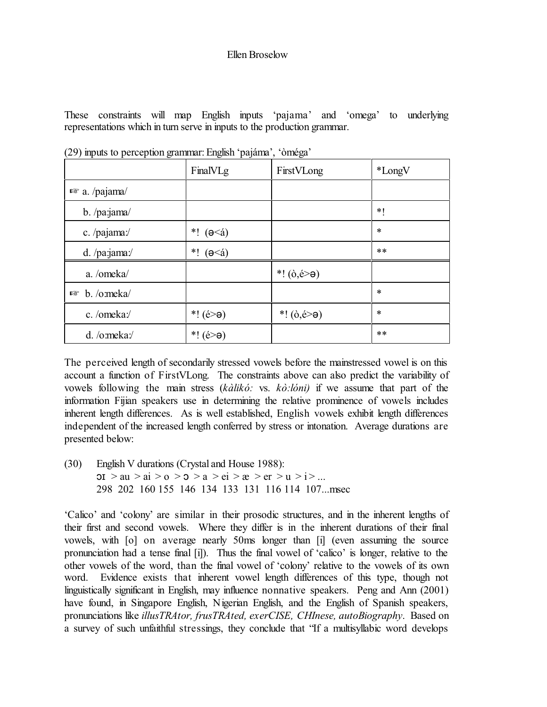These constraints will map English inputs 'pajama' and 'omega' to underlying representations which in turn serve in inputs to the production grammar.

|                        | FinalVLg                  | FirstVLong                                 | *LongV |
|------------------------|---------------------------|--------------------------------------------|--------|
| $\sqrt{a}$ a. /pajama/ |                           |                                            |        |
| $b.$ /pa: $jama/$      |                           |                                            | $*1$   |
| c. /pajama:/           | *! $(ə < 4)$              |                                            | $\ast$ |
| d. /pa:jama:/          | *! $(ə<\alpha)$           |                                            | $***$  |
| a. /omeka/             |                           | *! $(\dot{\theta}, \dot{\theta} > \theta)$ |        |
| $\n  b. /o:meka\n$     |                           |                                            | $\ast$ |
| c./omeka:/             | *! $(é \geq \theta)$      | *! $(\dot{\theta}, \dot{\theta} > \theta)$ | $\ast$ |
| d. /o:meka:/           | *! $(\acute{e} > \theta)$ |                                            | $***$  |

(29) inputs to perception grammar:English 'pajáma', 'òméga'

The perceived length of secondarily stressed vowels before the mainstressed vowel is on this account a function of FirstVLong. The constraints above can also predict the variability of vowels following the main stress (*kàlikó:* vs. *kò:lóni)* if we assume that part of the information Fijian speakers use in determining the relative prominence of vowels includes inherent length differences. As is well established, English vowels exhibit length differences independent of the increased length conferred by stress or intonation. Average durations are presented below:

(30) English V durations (Crystal and House 1988):  $\text{or } x > \text{au} > \text{ai} > 0 > \text{on} > \text{a} > \text{ei} > \text{ce} > \text{er} > \text{u} > \text{i} > \dots$ 298 202 160 155 146 134 133 131 116 114 107...msec

'Calico' and 'colony' are similar in their prosodic structures, and in the inherent lengths of their first and second vowels. Where they differ is in the inherent durations of their final vowels, with [o] on average nearly 50ms longer than [i] (even assuming the source pronunciation had a tense final [i]). Thus the final vowel of 'calico' is longer, relative to the other vowels of the word, than the final vowel of 'colony' relative to the vowels of its own word. Evidence exists that inherent vowel length differences of this type, though not linguistically significant in English, may influence nonnative speakers. Peng and Ann (2001) have found, in Singapore English, Nigerian English, and the English of Spanish speakers, pronunciations like *illusTRAtor, frusTRAted, exerCISE, CHInese, autoBiography*. Based on a survey of such unfaithful stressings, they conclude that "If a multisyllabic word develops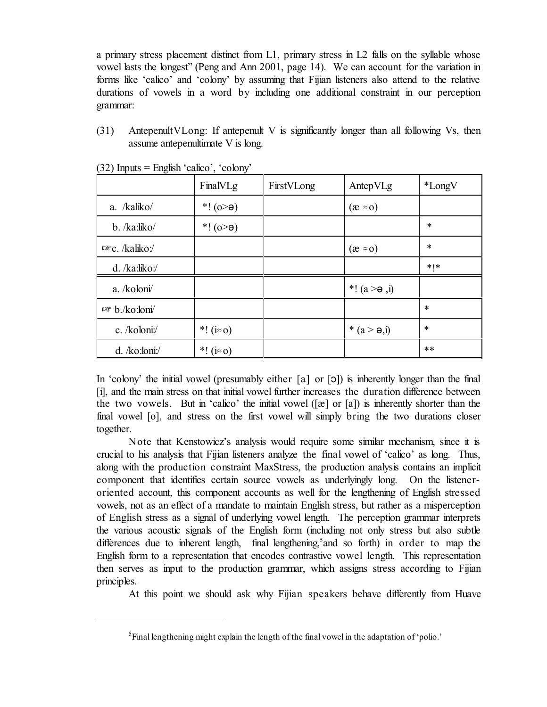a primary stress placement distinct from L1, primary stress in L2 falls on the syllable whose vowel lasts the longest" (Peng and Ann 2001, page 14). We can account for the variation in forms like 'calico' and 'colony' by assuming that Fijian listeners also attend to the relative durations of vowels in a word by including one additional constraint in our perception grammar:

(31) AntepenultVLong: If antepenult V is significantly longer than all following Vs, then assume antepenultimate V is long.

|                   | FinalVLg           | FirstVLong | AntepVLg            | *LongV    |
|-------------------|--------------------|------------|---------------------|-----------|
| a. /kaliko/       | *! $(o > e)$       |            | $(x \approx 0)$     |           |
| $b.$ /ka:liko/    | *! $(o > e)$       |            |                     | $\ast$    |
| $E$ c. /kaliko:/  |                    |            | $(x \approx 0)$     | $\ast$    |
| $d.$ /ka:liko:/   |                    |            |                     | $*$   $*$ |
| a. /koloni/       |                    |            | *! $(a > e, i)$     |           |
| $\n  Example 5.1$ |                    |            |                     | $\ast$    |
| c. /koloni:/      | *! $(i \approx 0)$ |            | * $(a > \theta, i)$ | $\ast$    |
| $d.$ /ko:loni:/   | *! $(i \approx 0)$ |            |                     | $***$     |

(32) Inputs = English 'calico', 'colony'

In 'colony' the initial vowel (presumably either  $[a]$  or  $[5]$ ) is inherently longer than the final [i], and the main stress on that initial vowel further increases the duration difference between the two vowels. But in 'calico' the initial vowel  $(\lceil \alpha \rceil)$  or  $\lceil \alpha \rceil$  is inherently shorter than the final vowel [o], and stress on the first vowel will simply bring the two durations closer together.

Note that Kenstowicz's analysis would require some similar mechanism, since it is crucial to his analysis that Fijian listeners analyze the final vowel of 'calico' as long. Thus, along with the production constraint MaxStress, the production analysis contains an implicit component that identifies certain source vowels as underlyingly long. On the listeneroriented account, this component accounts as well for the lengthening of English stressed vowels, not as an effect of a mandate to maintain English stress, but rather as a misperception of English stress as a signal of underlying vowel length. The perception grammar interprets the various acoustic signals of the English form (including not only stress but also subtle differences due to inherent length, final lengthening,<sup>5</sup> and so forth) in order to map the English form to a representation that encodes contrastive vowel length. This representation then serves as input to the production grammar, which assigns stress according to Fijian principles.

At this point we should ask why Fijian speakers behave differently from Huave

<sup>&</sup>lt;sup>5</sup> Final lengthening might explain the length of the final vowel in the adaptation of 'polio.'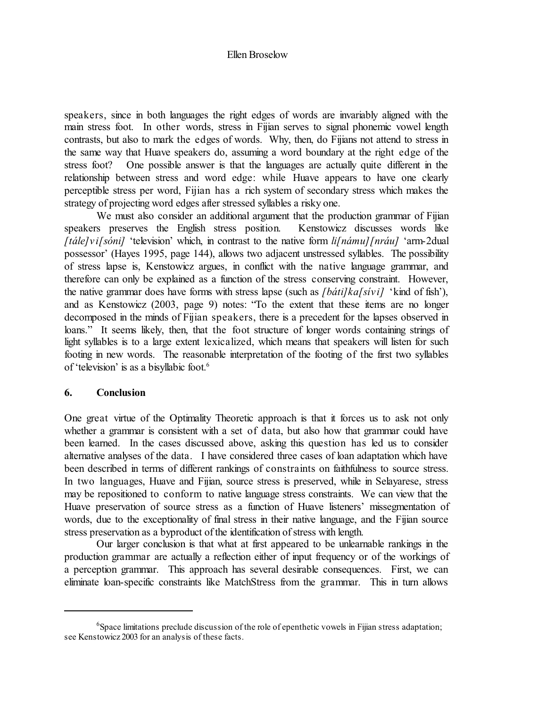speakers, since in both languages the right edges of words are invariably aligned with the main stress foot. In other words, stress in Fijian serves to signal phonemic vowel length contrasts, but also to mark the edges of words. Why, then, do Fijians not attend to stress in the same way that Huave speakers do, assuming a word boundary at the right edge of the stress foot? One possible answer is that the languages are actually quite different in the relationship between stress and word edge: while Huave appears to have one clearly perceptible stress per word, Fijian has a rich system of secondary stress which makes the strategy of projecting word edges after stressed syllables a risky one.

We must also consider an additional argument that the production grammar of Fijian speakers preserves the English stress position. Kenstowicz discusses words like *[tále]v i[sóni]* 'television' which, in contrast to the native form *li[námu][nráu]* 'arm-2dual possessor' (Hayes 1995, page 144), allows two adjacent unstressed syllables. The possibility of stress lapse is, Kenstowicz argues, in conflict with the native language grammar, and therefore can only be explained as a function of the stress conserving constraint. However, the native grammar does have forms with stress lapse (such as *[báti]ka[sív i]* 'kind of fish'), and as Kenstowicz (2003, page 9) notes: "To the extent that these items are no longer decomposed in the minds of Fijian speakers, there is a precedent for the lapses observed in loans." It seems likely, then, that the foot structure of longer words containing strings of light syllables is to a large extent lexicalized, which means that speakers will listen for such footing in new words. The reasonable interpretation of the footing of the first two syllables of 'television' is as a bisyllabic foot. 6

#### **6. Conclusion**

One great virtue of the Optimality Theoretic approach is that it forces us to ask not only whether a grammar is consistent with a set of data, but also how that grammar could have been learned. In the cases discussed above, asking this question has led us to consider alternative analyses of the data. I have considered three cases of loan adaptation which have been described in terms of different rankings of constraints on faithfulness to source stress. In two languages, Huave and Fijian, source stress is preserved, while in Selayarese, stress may be repositioned to conform to native language stress constraints. We can view that the Huave preservation of source stress as a function of Huave listeners' missegmentation of words, due to the exceptionality of final stress in their native language, and the Fijian source stress preservation as a byproduct of the identification of stress with length.

Our larger conclusion is that what at first appeared to be unlearnable rankings in the production grammar are actually a reflection either of input frequency or of the workings of a perception grammar. This approach has several desirable consequences. First, we can eliminate loan-specific constraints like MatchStress from the grammar. This in turn allows

<sup>&</sup>lt;sup>6</sup>Space limitations preclude discussion of the role of epenthetic vowels in Fijian stress adaptation; see Kenstowicz 2003 for an analysis of these facts.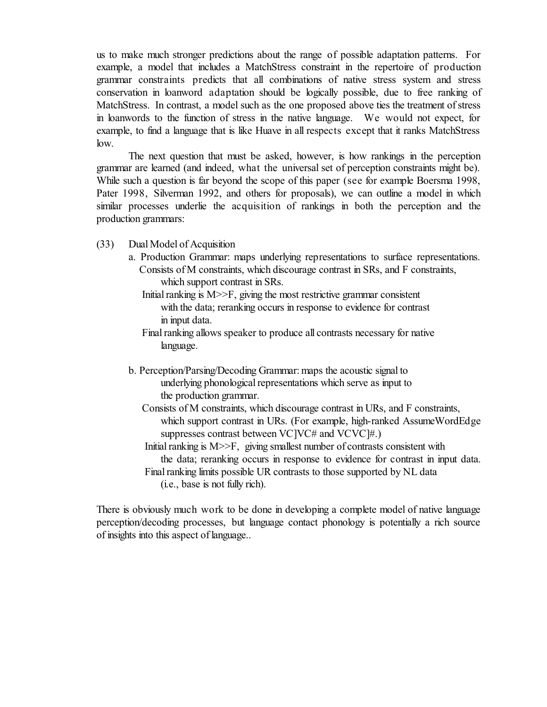us to make much stronger predictions about the range of possible adaptation patterns. For example, a model that includes a MatchStress constraint in the repertoire of production grammar constraints predicts that all combinations of native stress system and stress conservation in loanword adaptation should be logically possible, due to free ranking of MatchStress. In contrast, a model such as the one proposed above ties the treatment of stress in loanwords to the function of stress in the native language. We would not expect, for example, to find a language that is like Huave in all respects except that it ranks MatchStress low.

The next question that must be asked, however, is how rankings in the perception grammar are learned (and indeed, what the universal set of perception constraints might be). While such a question is far beyond the scope of this paper (see for example Boersma 1998, Pater 1998, Silverman 1992, and others for proposals), we can outline a model in which similar processes underlie the acquisition of rankings in both the perception and the production grammars:

- (33) Dual Model of Acquisition
	- a. Production Grammar: maps underlying representations to surface representations. Consists of M constraints, which discourage contrast in SRs, and F constraints, which support contrast in SRs.
		- Initial ranking is M>>F, giving the most restrictive grammar consistent with the data; reranking occurs in response to evidence for contrast in input data.
		- Final ranking allows speaker to produce all contrasts necessary for native language.
	- b. Perception/Parsing/Decoding Grammar: maps the acoustic signal to underlying phonological representations which serve as input to the production grammar.
		- Consists of M constraints, which discourage contrast in URs, and F constraints, which support contrast in URs. (For example, high-ranked AssumeWordEdge suppresses contrast between VC]VC# and VCVC]#.)
		- Initial ranking is M >>F, giving smallest number of contrasts consistent with the data; reranking occurs in response to evidence for contrast in input data. Final ranking limits possible UR contrasts to those supported by NL data (i.e., base is not fully rich).

There is obviously much work to be done in developing a complete model of native language perception/decoding processes, but language contact phonology is potentially a rich source of insights into this aspect of language..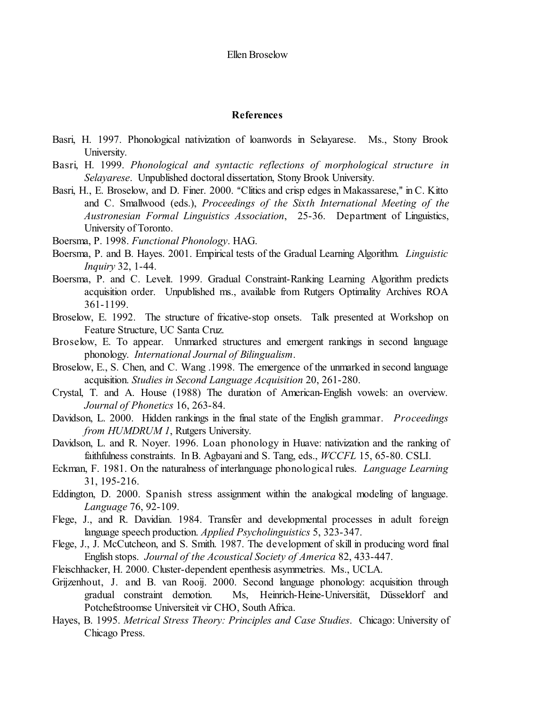### **References**

- Basri, H. 1997. Phonological nativization of loanwords in Selayarese. Ms., Stony Brook University.
- Basri, H. 1999. *Phonological and syntactic reflections of morphological structure in Selayarese*. Unpublished doctoral dissertation, Stony Brook University.
- Basri, H., E. Broselow, and D. Finer. 2000. "Clitics and crisp edges in Makassarese," in C. Kitto and C. Smallwood (eds.), *Proceedings of the Sixth International Meeting of the Austronesian Formal Linguistics Association*, 25-36. Department of Linguistics, University of Toronto.
- Boersma, P. 1998. *Functional Phonology*. HAG.
- Boersma, P. and B. Hayes. 2001. Empirical tests of the Gradual Learning Algorithm. *Linguistic Inquiry* 32, 1-44.
- Boersma, P. and C. Levelt. 1999. Gradual Constraint-Ranking Learning Algorithm predicts acquisition order. Unpublished ms., available from Rutgers Optimality Archives ROA 361-1199.
- Broselow, E. 1992. The structure of fricative-stop onsets. Talk presented at Workshop on Feature Structure, UC Santa Cruz.
- Broselow, E. To appear. Unmarked structures and emergent rankings in second language phonology. *International Journal of Bilingualism*.
- Broselow, E., S. Chen, and C. Wang .1998. The emergence of the unmarked in second language acquisition. *Studies in Second Language Acquisition* 20, 261-280.
- Crystal, T. and A. House (1988) The duration of American-English vowels: an overview. *Journal of Phonetics* 16, 263-84.
- Davidson, L. 2000. Hidden rankings in the final state of the English grammar. *Proceedings from HUMDRUM 1*, Rutgers University.
- Davidson, L. and R. Noyer. 1996. Loan phonology in Huave: nativization and the ranking of faithfulness constraints. In B. Agbayani and S. Tang, eds., *WCCFL* 15, 65-80. CSLI.
- Eckman, F. 1981. On the naturalness of interlanguage phonological rules. *Language Learning* 31, 195-216.
- Eddington, D. 2000. Spanish stress assignment within the analogical modeling of language. *Language* 76, 92-109.
- Flege, J., and R. Davidian. 1984. Transfer and developmental processes in adult foreign language speech production. *Applied Psycholinguistics* 5, 323-347.
- Flege, J., J. McCutcheon, and S. Smith. 1987. The development of skill in producing word final English stops. *Journal of the Acoustical Society of America* 82, 433-447.
- Fleischhacker, H. 2000. Cluster-dependent epenthesis asymmetries. Ms., UCLA.
- Grijzenhout, J. and B. van Rooij. 2000. Second language phonology: acquisition through gradual constraint demotion. Ms, Heinrich-Heine-Universität, Düsseldorf and Potchefstroomse Universiteit vir CHO, South Africa.
- Hayes, B. 1995. *Metrical Stress Theory: Principles and Case Studies*. Chicago: University of Chicago Press.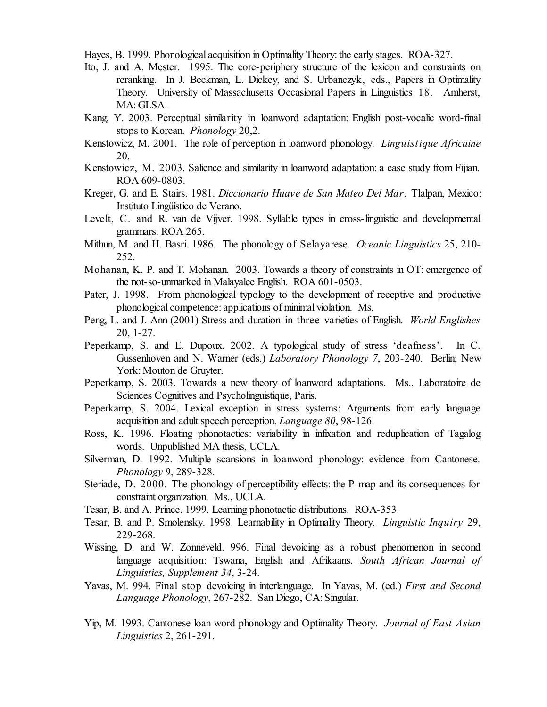Hayes, B. 1999. Phonological acquisition in Optimality Theory: the early stages. ROA-327.

- Ito, J. and A. Mester. 1995. The core-periphery structure of the lexicon and constraints on reranking. In J. Beckman, L. Dickey, and S. Urbanczyk, eds., Papers in Optimality Theory. University of Massachusetts Occasional Papers in Linguistics 18. Amherst, MA: GLSA.
- Kang, Y. 2003. Perceptual similarity in loanword adaptation: English post-vocalic word-final stops to Korean. *Phonology* 20,2.
- Kenstowicz, M. 2001. The role of perception in loanword phonology. *Linguistique Africaine* 20.
- Kenstowicz, M. 2003. Salience and similarity in loanword adaptation: a case study from Fijian. ROA 609-0803.
- Kreger, G. and E. Stairs. 1981. *Diccionario Huave de San Mateo Del Mar*. Tlalpan, Mexico: Instituto Lingüístico de Verano.
- Levelt, C. and R. van de Vijver. 1998. Syllable types in cross-linguistic and developmental grammars. ROA 265.
- Mithun, M. and H. Basri. 1986. The phonology of Selayarese. *Oceanic Linguistics* 25, 210- 252.
- Mohanan, K. P. and T. Mohanan. 2003. Towards a theory of constraints in OT: emergence of the not-so-unmarked in Malayalee English. ROA 601-0503.
- Pater, J. 1998. From phonological typology to the development of receptive and productive phonological competence: applications of minimal violation. Ms.
- Peng, L. and J. Ann (2001) Stress and duration in three varieties of English. *World Englishes* 20, 1-27.
- Peperkamp, S. and E. Dupoux. 2002. A typological study of stress 'deafness'. In C. Gussenhoven and N. Warner (eds.) *Laboratory Phonology 7*, 203-240. Berlin; New York: Mouton de Gruyter.
- Peperkamp, S. 2003. Towards a new theory of loanword adaptations. Ms., Laboratoire de Sciences Cognitives and Psycholinguistique, Paris.
- Peperkamp, S. 2004. Lexical exception in stress systems: Arguments from early language acquisition and adult speech perception. *Language 80*, 98-126.
- Ross, K. 1996. Floating phonotactics: variability in infixation and reduplication of Tagalog words. Unpublished MA thesis, UCLA.
- Silverman, D. 1992. Multiple scansions in loanword phonology: evidence from Cantonese. *Phonology* 9, 289-328.
- Steriade, D. 2000. The phonology of perceptibility effects: the P-map and its consequences for constraint organization. Ms., UCLA.
- Tesar, B. and A. Prince. 1999. Learning phonotactic distributions. ROA-353.
- Tesar, B. and P. Smolensky. 1998. Learnability in Optimality Theory. *Linguistic Inquiry* 29, 229-268.
- Wissing, D. and W. Zonneveld. 996. Final devoicing as a robust phenomenon in second language acquisition: Tswana, English and Afrikaans. *South African Journal of Linguistics, Supplement 34*, 3-24.
- Yavas, M. 994. Final stop devoicing in interlanguage. In Yavas, M. (ed.) *First and Second Language Phonology*, 267-282. San Diego, CA: Singular.
- Yip, M. 1993. Cantonese loan word phonology and Optimality Theory. *Journal of East Asian Linguistics* 2, 261-291.